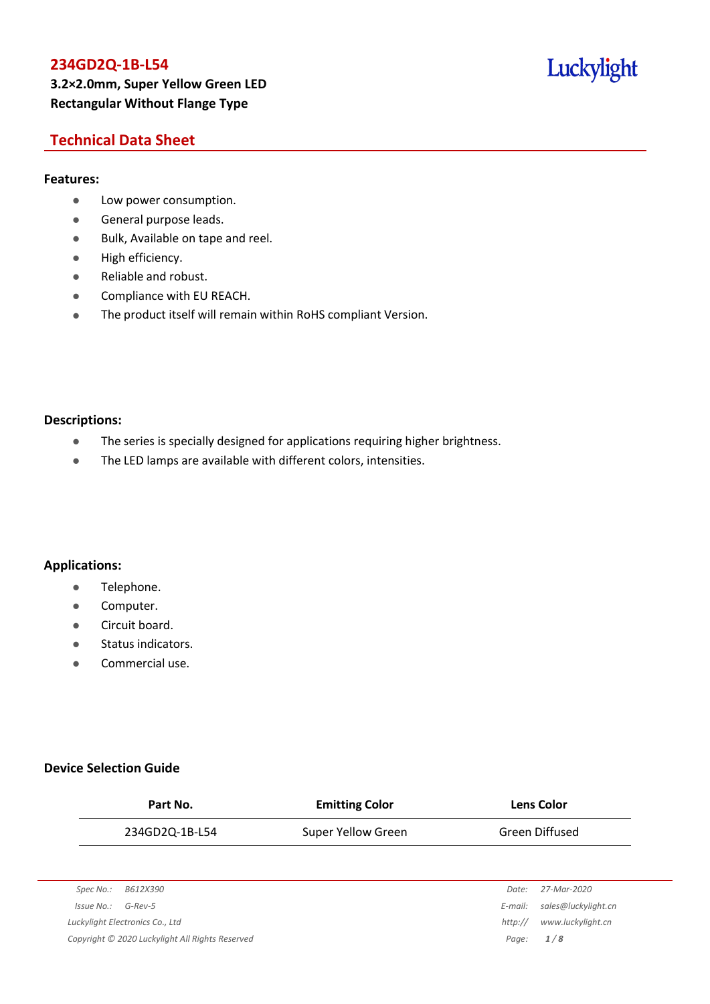## Luckylight

### **Technical Data Sheet**

### **Features:**

- **•** Low power consumption.
- **General purpose leads.**
- Bulk, Available on tape and reel.
- High efficiency.
- Reliable and robust.
- **•** Compliance with EU REACH.
- The product itself will remain within RoHS compliant Version.

#### **Descriptions:**

- The series is specially designed for applications requiring higher brightness.
- The LED lamps are available with different colors, intensities.

### **Applications:**

- **•** Telephone.
- **•** Computer.
- **•** Circuit board.
- **•** Status indicators.
- Commercial use.

### **Device Selection Guide**

| Part No.                                        | <b>Emitting Color</b> |         | <b>Lens Color</b>   |  |
|-------------------------------------------------|-----------------------|---------|---------------------|--|
| 234GD2Q-1B-L54                                  | Super Yellow Green    |         | Green Diffused      |  |
|                                                 |                       |         |                     |  |
| Spec No.:<br>B612X390                           |                       | Date:   | 27-Mar-2020         |  |
| $G$ -Rev-5<br>Issue No.:                        |                       | E-mail: | sales@luckylight.cn |  |
| Luckylight Electronics Co., Ltd                 |                       | http:// | www.luckylight.cn   |  |
| Copyright © 2020 Luckylight All Rights Reserved |                       | Page:   | 1/8                 |  |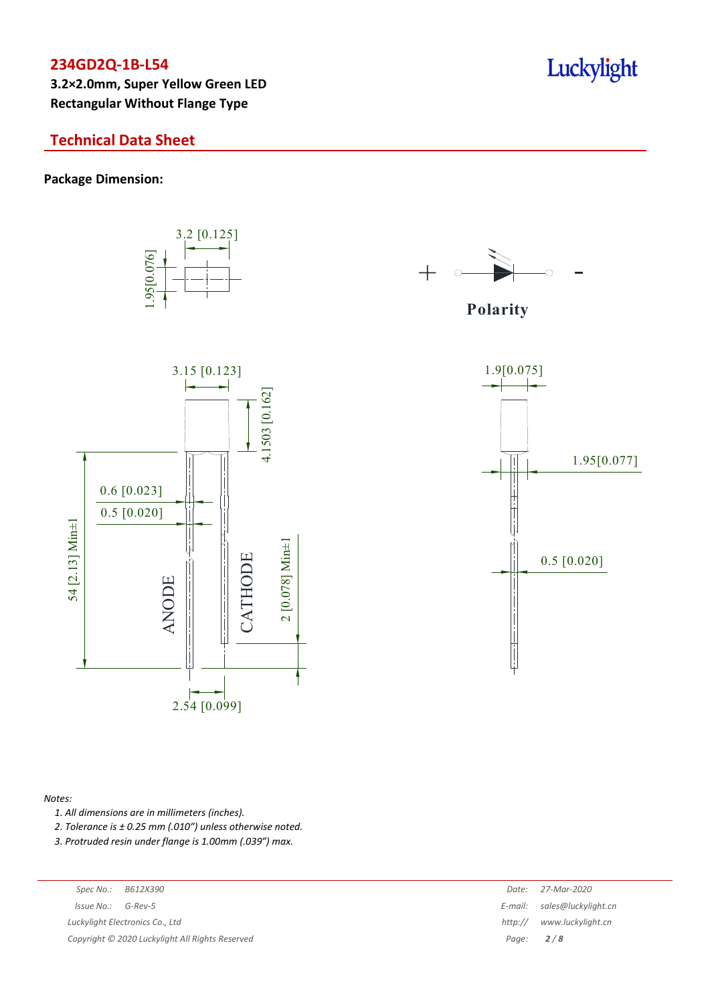**3.2×2.0mm, Super Yellow Green LED Rectangular Without Flange Type**

### **Technical Data Sheet**

#### **Package Dimension:**



3.2 [0.125]



**Polarity**



#### *Notes:*

- *1. All dimensions are in millimeters (inches).*
- *2. Tolerance is ± 0.25 mm (.010″) unless otherwise noted.*
- *3. Protruded resin under flange is 1.00mm (.039″) max.*

| Spec No.: | B612X39 |
|-----------|---------|
|           |         |

*Copyright © 2020 Luckylight All Rights Reserved Page: 2 / 8*

| Spec No.:<br>B612X390                         | Date:   | 27-Mar-2020                 |
|-----------------------------------------------|---------|-----------------------------|
| 'ssue No.:<br>G-Rev-5                         |         | E-mail: sales@luckylight.cn |
| ckylight Electronics Co., Ltd                 | http:// | www.luckylight.cn           |
| pyright © 2020 Luckylight All Rights Reserved |         | Page: $2/8$                 |

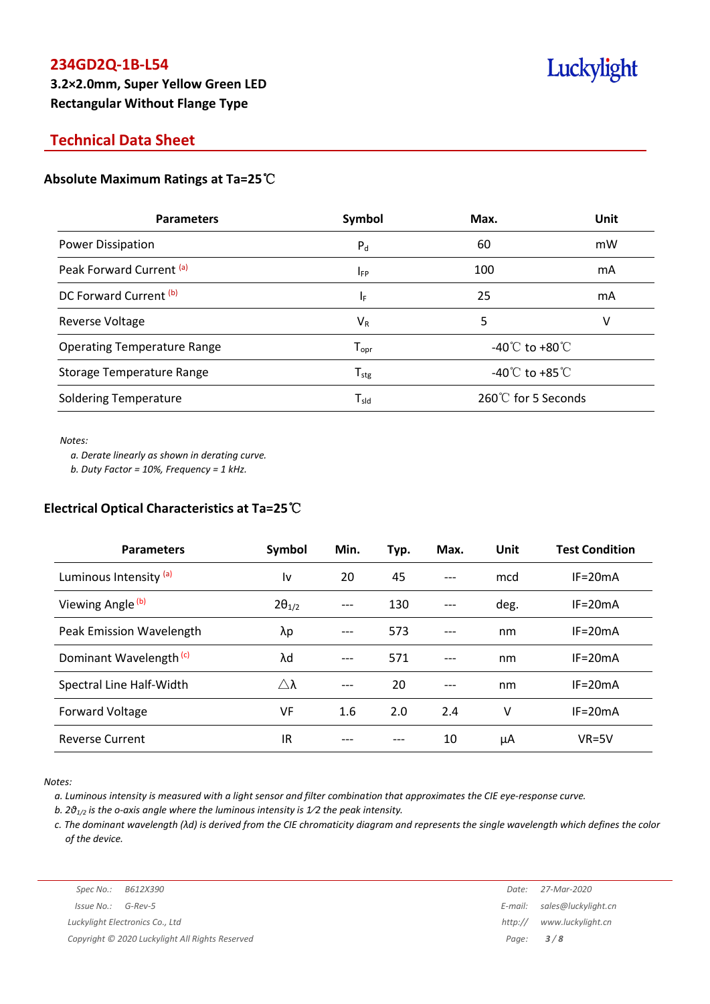### **Technical Data Sheet**

### **Absolute Maximum Ratings at Ta=25**℃

| <b>Parameters</b>                   | Symbol                       | Max.                                 | <b>Unit</b> |
|-------------------------------------|------------------------------|--------------------------------------|-------------|
| Power Dissipation                   | $P_{d}$                      | 60                                   | mW          |
| Peak Forward Current <sup>(a)</sup> | $I_{FP}$                     | 100                                  | mA          |
| DC Forward Current <sup>(b)</sup>   | ΙF                           | 25                                   | mA          |
| Reverse Voltage                     | $V_{R}$                      | 5                                    | v           |
| <b>Operating Temperature Range</b>  | ${\mathsf T}_{\textsf{opr}}$ | -40 $^{\circ}$ C to +80 $^{\circ}$ C |             |
| <b>Storage Temperature Range</b>    | ${\mathsf T}_{\textsf{stg}}$ | -40 $\mathrm{C}$ to +85 $\mathrm{C}$ |             |
| <b>Soldering Temperature</b>        | $T_{sld}$                    | $260^{\circ}$ for 5 Seconds          |             |

*Notes:*

*a. Derate linearly as shown in derating curve.*

*b. Duty Factor = 10%, Frequency = 1 kHz.*

#### **Electrical Optical Characteristics at Ta=25**℃

| <b>Parameters</b>                  | Symbol          | Min. | Typ. | Max.  | Unit | <b>Test Condition</b> |
|------------------------------------|-----------------|------|------|-------|------|-----------------------|
| Luminous Intensity <sup>(a)</sup>  | l٧              | 20   | 45   |       | mcd  | $IF = 20mA$           |
| Viewing Angle (b)                  | $2\theta_{1/2}$ | ---  | 130  |       | deg. | $IF = 20mA$           |
| Peak Emission Wavelength           | λp              | ---  | 573  | ---   | nm   | $IF = 20mA$           |
| Dominant Wavelength <sup>(c)</sup> | λd              | ---  | 571  | $---$ | nm   | $IF = 20mA$           |
| Spectral Line Half-Width           | Δλ              |      | 20   |       | nm   | $IF = 20mA$           |
| Forward Voltage                    | <b>VF</b>       | 1.6  | 2.0  | 2.4   | v    | $IF = 20mA$           |
| <b>Reverse Current</b>             | IR              |      |      | 10    | μA   | $VR=5V$               |

*Notes:*

a. Luminous intensity is measured with a light sensor and filter combination that approximates the CIE eye-response curve.

*b. 2θ1/2 is the o-axis angle where the luminous intensity is 1⁄2 the peak intensity.*

c. The dominant wavelength ( $\lambda$ d) is derived from the CIE chromaticity diagram and represents the single wavelength which defines the color *of the device.*

*Luckylight Electronics Co., Ltd http:// www.luckylight.cn Copyright © 2020 Luckylight All Rights Reserved Page: 3 / 8*

*Spec No.: B612X390 Date: 27-Mar-2020 Issue No.: G-Rev-5 E-mail: sales@luckylight.cn*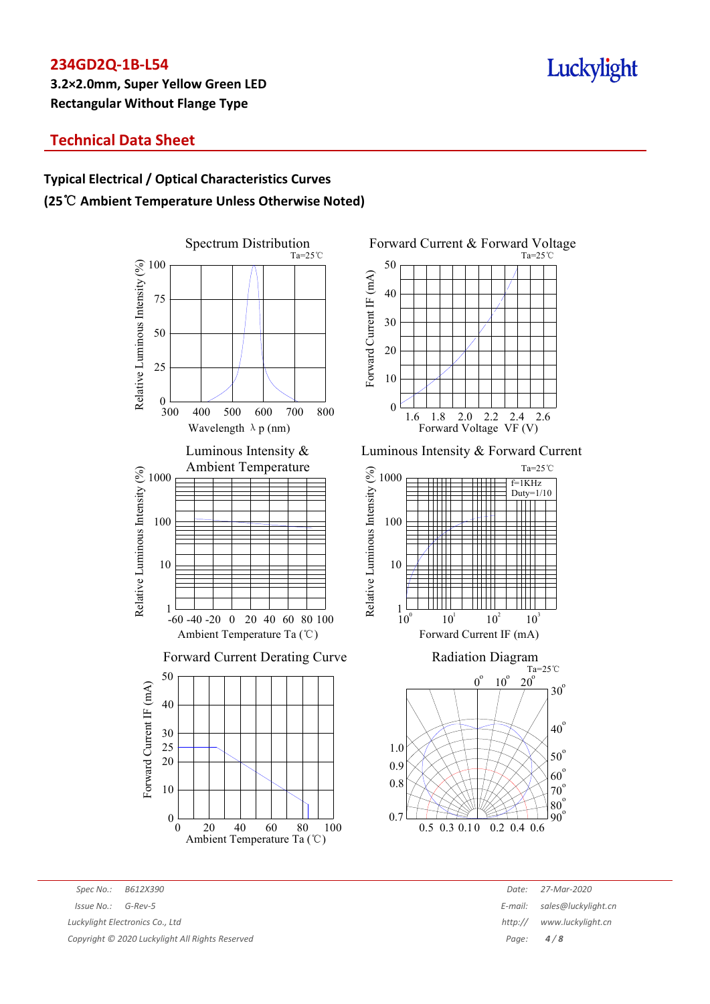## Luckylight

## **Technical Data Sheet**

## **Typical Electrical / Optical Characteristics Curves (25**℃ **Ambient Temperature Unless Otherwise Noted)**





Luminous Intensity & Forward Current





*Spec No.: B612X390 Date: 27-Mar-2020 Issue No.: G-Rev-5 E-mail: sales@luckylight.cn Luckylight Electronics Co., Ltd http:// www.luckylight.cn Copyright © 2020 Luckylight All Rights Reserved Page: 4 / 8*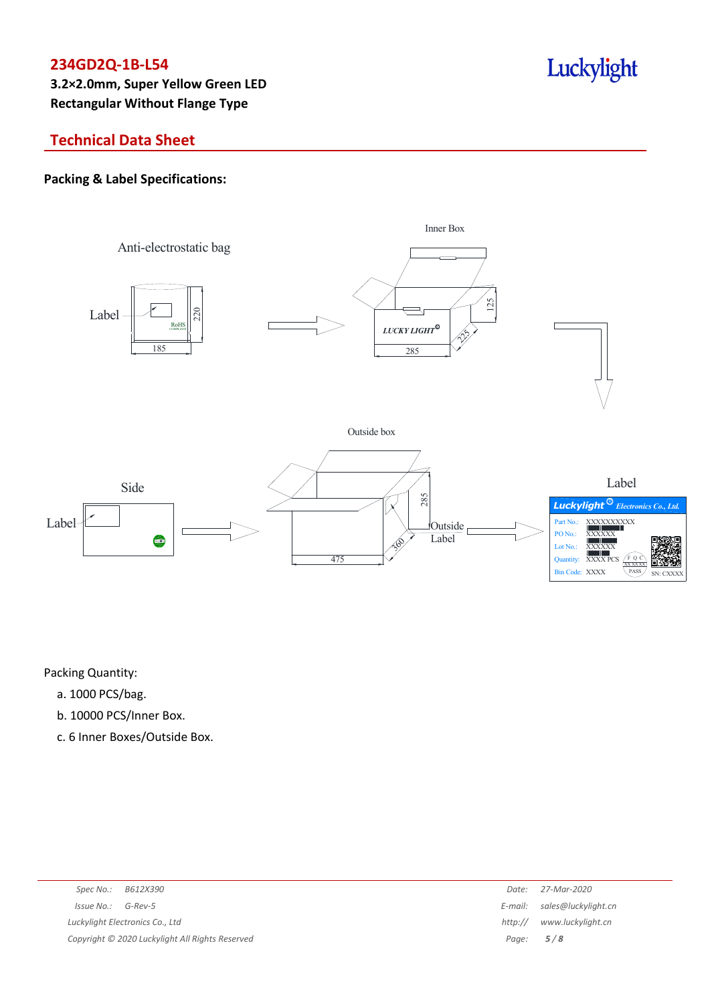## Luckylight

## **Technical Data Sheet**

### **Packing & Label Specifications:**



Packing Quantity:

- a. 1000 PCS/bag.
- b. 10000 PCS/Inner Box.
- c. 6 Inner Boxes/Outside Box.

| Spec No.:<br>B612X390                           | Date:   | 27-Mar-2020                 |
|-------------------------------------------------|---------|-----------------------------|
| $Issue No.: G-Rev-5$                            |         | E-mail: sales@luckylight.cn |
| Luckylight Electronics Co., Ltd                 | http:// | www.luckylight.cn           |
| Copyright © 2020 Luckylight All Rights Reserved |         | Page: $5/8$                 |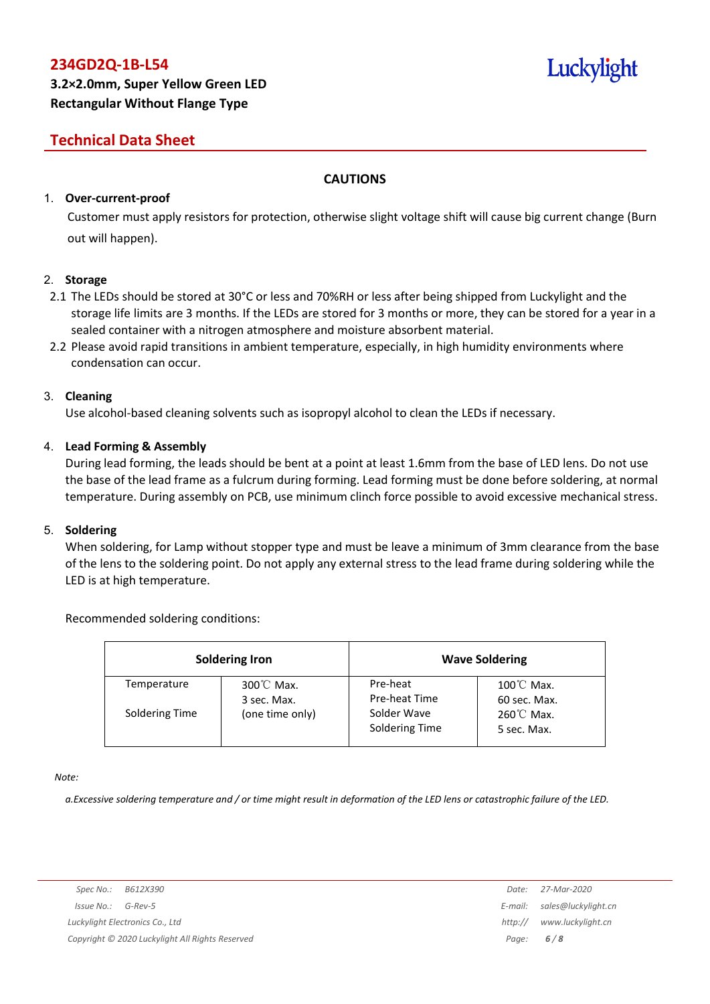# Luckylight

## **Technical Data Sheet**

### **CAUTIONS**

### 1. **Over-current-proof**

Customer must apply resistors for protection, otherwise slight voltage shift will cause big current change (Burn out will happen).

### 2. **Storage**

- 2.1 The LEDs should be stored at 30°C or less and 70%RH or less after being shipped from Luckylight and the storage life limits are 3 months. If the LEDs are stored for 3 months or more, they can be stored for a year in a sealed container with a nitrogen atmosphere and moisture absorbent material.
- 2.2 Please avoid rapid transitions in ambient temperature, especially, in high humidity environments where condensation can occur.

### 3. **Cleaning**

Use alcohol-based cleaning solvents such as isopropyl alcohol to clean the LEDs if necessary.

### 4. **Lead Forming & Assembly**

During lead forming, the leads should be bent at a point at least 1.6mm from the base of LED lens. Do not use the base of the lead frame as a fulcrum during forming. Lead forming must be done before soldering, at normal temperature. During assembly on PCB, use minimum clinch force possible to avoid excessive mechanical stress.

### 5. **Soldering**

When soldering, for Lamp without stopper type and must be leave a minimum of 3mm clearance from the base of the lens to the soldering point. Do not apply any external stress to the lead frame during soldering while the LED is at high temperature.

### Recommended soldering conditions:

| <b>Soldering Iron</b> |                                     | <b>Wave Soldering</b>         |                                      |  |
|-----------------------|-------------------------------------|-------------------------------|--------------------------------------|--|
| Temperature           | $300^{\circ}$ C Max.<br>3 sec. Max. | Pre-heat<br>Pre-heat Time     | $100^{\circ}$ C Max.<br>60 sec. Max. |  |
| Soldering Time        | (one time only)                     | Solder Wave<br>Soldering Time | $260^{\circ}$ C Max.<br>5 sec. Max.  |  |

*Note:*

a. Excessive soldering temperature and / or time might result in deformation of the LED lens or catastrophic failure of the LED.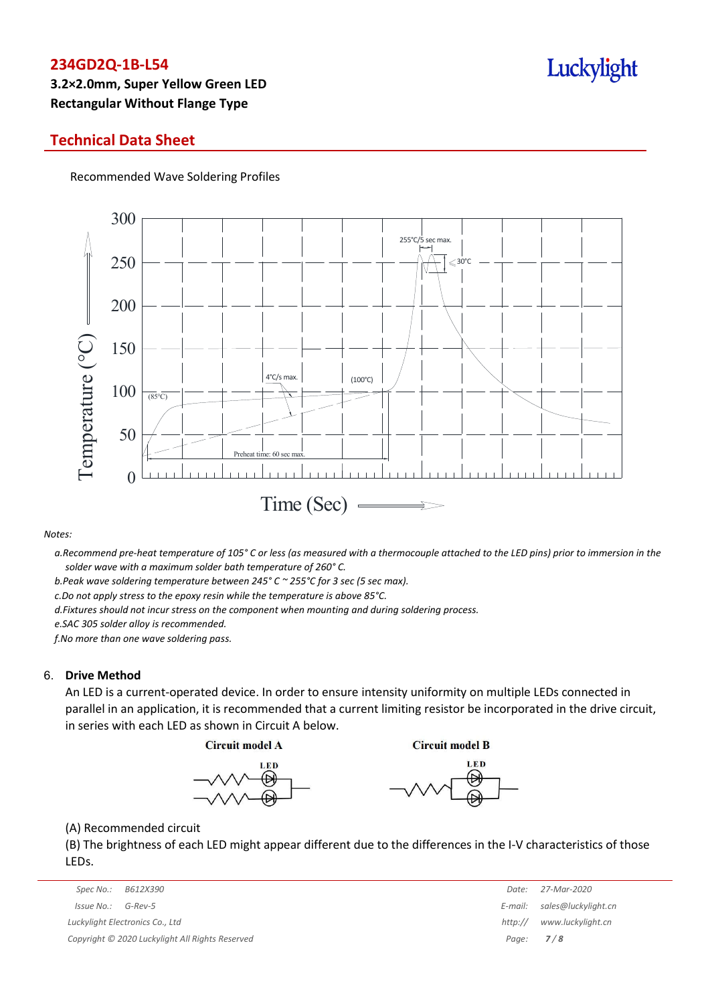### **Technical Data Sheet**

Recommended Wave Soldering Profiles



#### *Notes:*

a. Recommend pre-heat temperature of 105° C or less (as measured with a thermocouple attached to the LED pins) prior to immersion in the *solder wave with a maximum solder bath temperature of 260° C.*

*b.Peak wave soldering temperature between 245° C ~ 255°C for 3 sec (5 sec max).*

*c.Do not apply stress to the epoxy resin while the temperature is above 85°C.*

*d.Fixtures should not incur stress on the component when mounting and during soldering process.*

*e.SAC 305 solder alloy is recommended.*

*f.No more than one wave soldering pass.*

#### 6. **Drive Method**

An LED is a current-operated device. In order to ensure intensity uniformity on multiple LEDs connected in parallel in an application, it is recommended that a current limiting resistor be incorporated in the drive circuit, in series with each LED as shown in Circuit A below.

**Circuit model A** 

**Circuit model B** 





(A) Recommended circuit

(B) The brightness of each LED might appear different due to the differences in the I-V characteristics of those LEDs.

|                                                 | Spec No.:<br>B612X390           | Date:       | 27-Mar-2020         |
|-------------------------------------------------|---------------------------------|-------------|---------------------|
|                                                 | Issue No.:<br>G-Rev-5           | E-mail:     | sales@luckylight.cn |
|                                                 | Luckylight Electronics Co., Ltd | http://     | www.luckylight.cn   |
| Copyright © 2020 Luckylight All Rights Reserved |                                 | Page: $7/8$ |                     |

|         | Date: 27-Mar-2020   |
|---------|---------------------|
| E-mail: | sales@luckylight.cn |
| http:// | www.luckylight.cn   |
| Page:   | 7/8                 |

## Luckylight